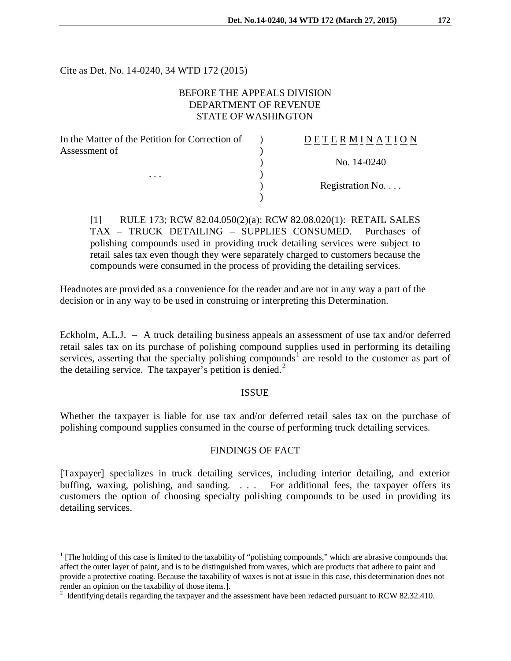Cite as Det. No. 14-0240, 34 WTD 172 (2015)

 $\overline{a}$ 

# BEFORE THE APPEALS DIVISION DEPARTMENT OF REVENUE STATE OF WASHINGTON

| In the Matter of the Petition for Correction of | DETERMINATION   |
|-------------------------------------------------|-----------------|
| Assessment of<br>$\cdot$                        | No. 14-0240     |
|                                                 |                 |
|                                                 | Registration No |
|                                                 |                 |

[1] RULE 173; RCW 82.04.050(2)(a); RCW 82.08.020(1): RETAIL SALES TAX – TRUCK DETAILING – SUPPLIES CONSUMED. Purchases of polishing compounds used in providing truck detailing services were subject to retail sales tax even though they were separately charged to customers because the compounds were consumed in the process of providing the detailing services.

Headnotes are provided as a convenience for the reader and are not in any way a part of the decision or in any way to be used in construing or interpreting this Determination.

Eckholm, A.L.J. – A truck detailing business appeals an assessment of use tax and/or deferred retail sales tax on its purchase of polishing compound supplies used in performing its detailing services, asserting that the specialty polishing compounds<sup>[1](#page-0-0)</sup> are resold to the customer as part of the detailing service. The taxpayer's petition is denied. $<sup>2</sup>$  $<sup>2</sup>$  $<sup>2</sup>$ </sup>

### ISSUE

Whether the taxpayer is liable for use tax and/or deferred retail sales tax on the purchase of polishing compound supplies consumed in the course of performing truck detailing services.

# FINDINGS OF FACT

[Taxpayer] specializes in truck detailing services, including interior detailing, and exterior buffing, waxing, polishing, and sanding. . . . For additional fees, the taxpayer offers its customers the option of choosing specialty polishing compounds to be used in providing its detailing services.

<span id="page-0-0"></span> $1$  [The holding of this case is limited to the taxability of "polishing compounds," which are abrasive compounds that affect the outer layer of paint, and is to be distinguished from waxes, which are products that adhere to paint and provide a protective coating. Because the taxability of waxes is not at issue in this case, this determination does not render an opinion on the taxability of those items.].

<span id="page-0-1"></span><sup>&</sup>lt;sup>2</sup> Identifying details regarding the taxpayer and the assessment have been redacted pursuant to RCW 82.32.410.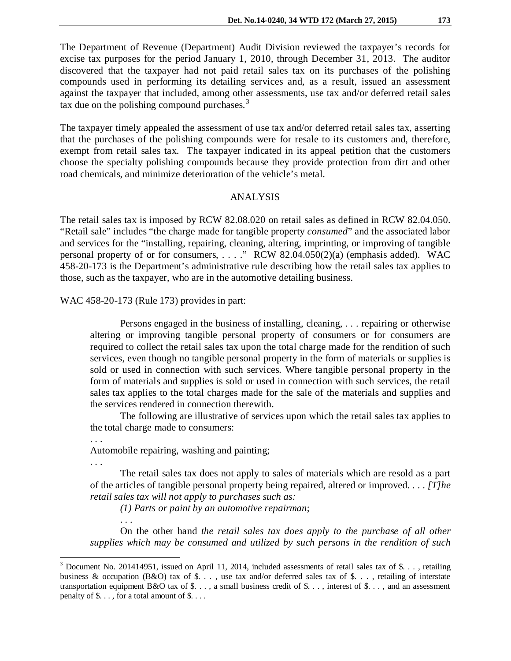The Department of Revenue (Department) Audit Division reviewed the taxpayer's records for excise tax purposes for the period January 1, 2010, through December 31, 2013. The auditor discovered that the taxpayer had not paid retail sales tax on its purchases of the polishing compounds used in performing its detailing services and, as a result, issued an assessment against the taxpayer that included, among other assessments, use tax and/or deferred retail sales tax due on the polishing compound purchases.<sup>[3](#page-1-0)</sup>

The taxpayer timely appealed the assessment of use tax and/or deferred retail sales tax, asserting that the purchases of the polishing compounds were for resale to its customers and, therefore, exempt from retail sales tax. The taxpayer indicated in its appeal petition that the customers choose the specialty polishing compounds because they provide protection from dirt and other road chemicals, and minimize deterioration of the vehicle's metal.

#### ANALYSIS

The retail sales tax is imposed by RCW 82.08.020 on retail sales as defined in RCW 82.04.050. "Retail sale" includes "the charge made for tangible property *consumed*" and the associated labor and services for the "installing, repairing, cleaning, altering, imprinting, or improving of tangible personal property of or for consumers, . . . ." RCW 82.04.050(2)(a) (emphasis added). WAC 458-20-173 is the Department's administrative rule describing how the retail sales tax applies to those, such as the taxpayer, who are in the automotive detailing business.

WAC 458-20-173 (Rule 173) provides in part:

Persons engaged in the business of installing, cleaning, . . . repairing or otherwise altering or improving tangible personal property of consumers or for consumers are required to collect the retail sales tax upon the total charge made for the rendition of such services, even though no tangible personal property in the form of materials or supplies is sold or used in connection with such services. Where tangible personal property in the form of materials and supplies is sold or used in connection with such services, the retail sales tax applies to the total charges made for the sale of the materials and supplies and the services rendered in connection therewith.

The following are illustrative of services upon which the retail sales tax applies to the total charge made to consumers:

Automobile repairing, washing and painting;

. . .

 $\overline{a}$ 

. . .

. . .

The retail sales tax does not apply to sales of materials which are resold as a part of the articles of tangible personal property being repaired, altered or improved. . . . *[T]he retail sales tax will not apply to purchases such as:*

*(1) Parts or paint by an automotive repairman*;

On the other hand *the retail sales tax does apply to the purchase of all other supplies which may be consumed and utilized by such persons in the rendition of such* 

<span id="page-1-0"></span><sup>&</sup>lt;sup>3</sup> Document No. 201414951, issued on April 11, 2014, included assessments of retail sales tax of \$. . . , retailing business & occupation (B&O) tax of \$..., use tax and/or deferred sales tax of \$..., retailing of interstate transportation equipment B&O tax of  $\$\ldots$ , a small business credit of  $\$\ldots$ , interest of  $\$\ldots$ , and an assessment penalty of \$. . . , for a total amount of \$. . . .